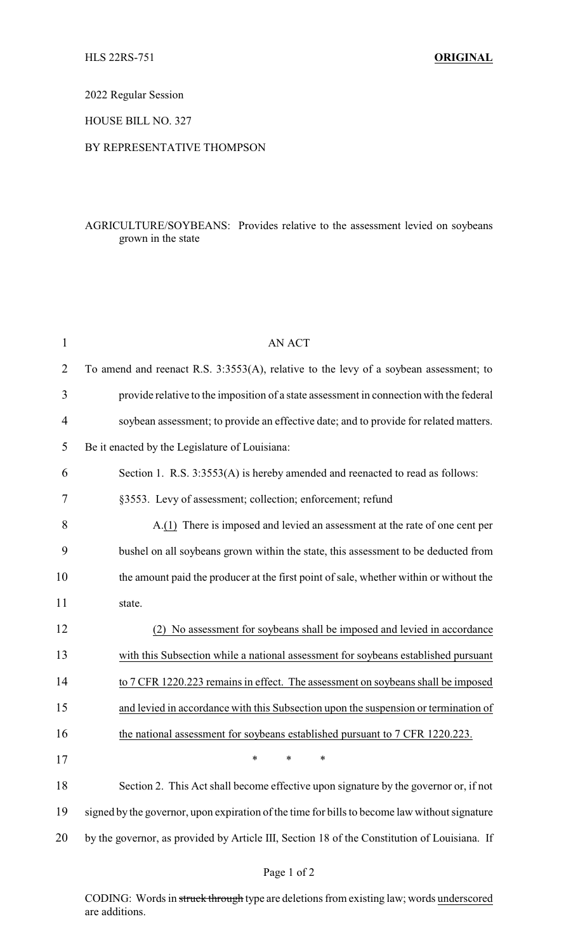2022 Regular Session

HOUSE BILL NO. 327

## BY REPRESENTATIVE THOMPSON

## AGRICULTURE/SOYBEANS: Provides relative to the assessment levied on soybeans grown in the state

| 1              | <b>AN ACT</b>                                                                                 |
|----------------|-----------------------------------------------------------------------------------------------|
| $\overline{2}$ | To amend and reenact R.S. 3:3553(A), relative to the levy of a soybean assessment; to         |
| 3              | provide relative to the imposition of a state assessment in connection with the federal       |
| $\overline{4}$ | soybean assessment; to provide an effective date; and to provide for related matters.         |
| 5              | Be it enacted by the Legislature of Louisiana:                                                |
| 6              | Section 1. R.S. 3:3553(A) is hereby amended and reenacted to read as follows:                 |
| 7              | §3553. Levy of assessment; collection; enforcement; refund                                    |
| 8              | A.(1) There is imposed and levied an assessment at the rate of one cent per                   |
| 9              | bushel on all soybeans grown within the state, this assessment to be deducted from            |
| 10             | the amount paid the producer at the first point of sale, whether within or without the        |
| 11             | state.                                                                                        |
| 12             | No assessment for soybeans shall be imposed and levied in accordance<br>(2)                   |
| 13             | with this Subsection while a national assessment for soybeans established pursuant            |
| 14             | to 7 CFR 1220.223 remains in effect. The assessment on soybeans shall be imposed              |
| 15             | and levied in accordance with this Subsection upon the suspension or termination of           |
| 16             | the national assessment for soybeans established pursuant to 7 CFR 1220.223.                  |
| 17             |                                                                                               |
| 18             | Section 2. This Act shall become effective upon signature by the governor or, if not          |
| 19             | signed by the governor, upon expiration of the time for bills to become law without signature |
| 20             | by the governor, as provided by Article III, Section 18 of the Constitution of Louisiana. If  |

CODING: Words in struck through type are deletions from existing law; words underscored are additions.